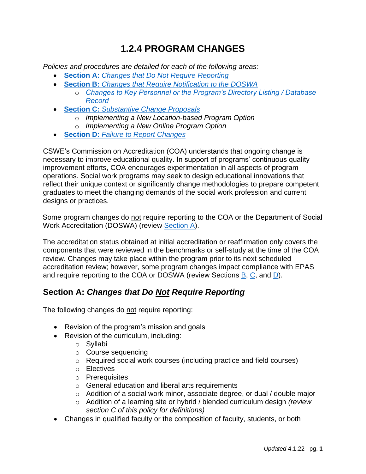# **1.2.4 PROGRAM CHANGES**

*Policies and procedures are detailed for each of the following areas:*

- **Section A:** *[Changes that Do Not Require Reporting](#page-0-0)*
- **Section B:** *[Changes that Require Notification to the DOSWA](#page-1-0)*
	- o *[Changes to Key Personnel or the Program's Directory Listing / Database](#page-2-0)  [Record](#page-2-0)*
- **Section C:** *[Substantive Change Proposals](#page-3-0)*
	- o *Implementing a New Location-based Program Option*
	- o *Implementing a New Online Program Option*
- **Section D:** *[Failure to Report Changes](#page-8-0)*

CSWE's Commission on Accreditation (COA) understands that ongoing change is necessary to improve educational quality. In support of programs' continuous quality improvement efforts, COA encourages experimentation in all aspects of program operations. Social work programs may seek to design educational innovations that reflect their unique context or significantly change methodologies to prepare competent graduates to meet the changing demands of the social work profession and current designs or practices.

Some program changes do not require reporting to the COA or the Department of Social Work Accreditation (DOSWA) (review [Section A\)](#page-0-0).

The accreditation status obtained at initial accreditation or reaffirmation only covers the components that were reviewed in the benchmarks or self-study at the time of the COA review. Changes may take place within the program prior to its next scheduled accreditation review; however, some program changes impact compliance with EPAS and require reporting to the COA or DOSWA (review Sections [B,](#page-1-0) [C,](#page-3-0) and [D\)](#page-8-0).

# <span id="page-0-0"></span>**Section A:** *Changes that Do Not Require Reporting*

The following changes do not require reporting:

- Revision of the program's mission and goals
- Revision of the curriculum, including:
	- o Syllabi
	- o Course sequencing
	- o Required social work courses (including practice and field courses)
	- o Electives
	- o Prerequisites
	- o General education and liberal arts requirements
	- o Addition of a social work minor, associate degree, or dual / double major
	- o Addition of a learning site or hybrid / blended curriculum design *(review section C of this policy for definitions)*
- Changes in qualified faculty or the composition of faculty, students, or both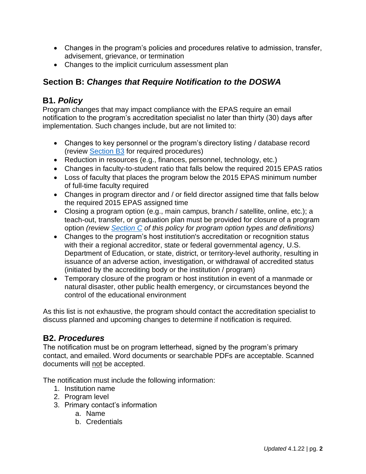- Changes in the program's policies and procedures relative to admission, transfer, advisement, grievance, or termination
- Changes to the implicit curriculum assessment plan

# <span id="page-1-0"></span>**Section B:** *Changes that Require Notification to the DOSWA*

# **B1.** *Policy*

Program changes that may impact compliance with the EPAS require an email notification to the program's accreditation specialist no later than thirty (30) days after implementation. Such changes include, but are not limited to:

- Changes to key personnel or the program's directory listing / database record (review [Section B3](#page-2-0) for required procedures)
- Reduction in resources (e.g., finances, personnel, technology, etc.)
- Changes in faculty-to-student ratio that falls below the required 2015 EPAS ratios
- Loss of faculty that places the program below the 2015 EPAS minimum number of full-time faculty required
- Changes in program director and / or field director assigned time that falls below the required 2015 EPAS assigned time
- Closing a program option (e.g., main campus, branch / satellite, online, etc.); a teach-out, transfer, or graduation plan must be provided for closure of a program option *(review [Section C](#page-3-0) of this policy for program option types and definitions)*
- Changes to the program's host institution's accreditation or recognition status with their a regional accreditor, state or federal governmental agency, U.S. Department of Education, or state, district, or territory-level authority, resulting in issuance of an adverse action, investigation, or withdrawal of accredited status (initiated by the accrediting body or the institution / program)
- Temporary closure of the program or host institution in event of a manmade or natural disaster, other public health emergency, or circumstances beyond the control of the educational environment

As this list is not exhaustive, the program should contact the accreditation specialist to discuss planned and upcoming changes to determine if notification is required.

# **B2.** *Procedures*

The notification must be on program letterhead, signed by the program's primary contact, and emailed. Word documents or searchable PDFs are acceptable. Scanned documents will not be accepted.

The notification must include the following information:

- 1. Institution name
- 2. Program level
- 3. Primary contact's information
	- a. Name
	- b. Credentials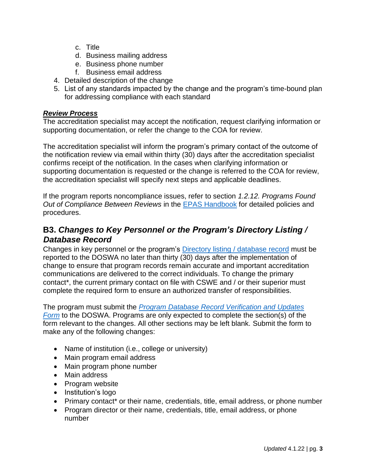- c. Title
- d. Business mailing address
- e. Business phone number
- f. Business email address
- 4. Detailed description of the change
- 5. List of any standards impacted by the change and the program's time-bound plan for addressing compliance with each standard

#### *Review Process*

The accreditation specialist may accept the notification, request clarifying information or supporting documentation, or refer the change to the COA for review.

The accreditation specialist will inform the program's primary contact of the outcome of the notification review via email within thirty (30) days after the accreditation specialist confirms receipt of the notification. In the cases when clarifying information or supporting documentation is requested or the change is referred to the COA for review, the accreditation specialist will specify next steps and applicable deadlines.

If the program reports noncompliance issues, refer to section *1.2.12. Programs Found Out of Compliance Between Reviews* in the [EPAS Handbook](https://www.cswe.org/accreditation/standards/epas-handbook/) for detailed policies and procedures.

# <span id="page-2-0"></span>**B3.** *Changes to Key Personnel or the Program's Directory Listing / Database Record*

Changes in key personnel or the program's [Directory listing / database record](https://www.cswe.org/accreditation/directory/?) must be reported to the DOSWA no later than thirty (30) days after the implementation of change to ensure that program records remain accurate and important accreditation communications are delivered to the correct individuals. To change the primary contact\*, the current primary contact on file with CSWE and / or their superior must complete the required form to ensure an authorized transfer of responsibilities.

The program must submit the *[Program Database Record Verification and Updates](https://forms.office.com/Pages/ResponsePage.aspx?id=90VnTlPYykWOaiTFAHsiBTPSkOfJ0mFIhrt9EtBigKFUMUY3NjFBUkFBSlhTRFhDWTUxUTBXMDFOSS4u&wdLOR=cFC561154-0666-4FBD-A731-53D93641005E)  [Form](https://forms.office.com/Pages/ResponsePage.aspx?id=90VnTlPYykWOaiTFAHsiBTPSkOfJ0mFIhrt9EtBigKFUMUY3NjFBUkFBSlhTRFhDWTUxUTBXMDFOSS4u&wdLOR=cFC561154-0666-4FBD-A731-53D93641005E)* to the DOSWA. Programs are only expected to complete the section(s) of the form relevant to the changes. All other sections may be left blank. Submit the form to make any of the following changes:

- Name of institution (i.e., college or university)
- Main program email address
- Main program phone number
- Main address
- Program website
- Institution's logo
- Primary contact\* or their name, credentials, title, email address, or phone number
- Program director or their name, credentials, title, email address, or phone number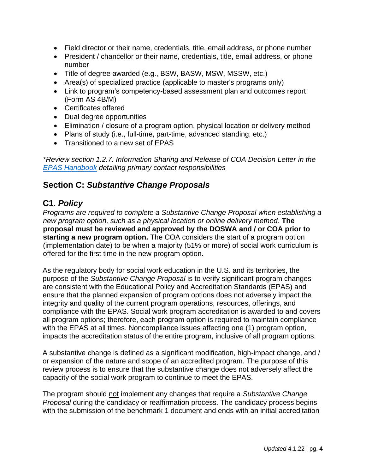- Field director or their name, credentials, title, email address, or phone number
- President / chancellor or their name, credentials, title, email address, or phone number
- Title of degree awarded (e.g., BSW, BASW, MSW, MSSW, etc.)
- Area(s) of specialized practice (applicable to master's programs only)
- Link to program's competency-based assessment plan and outcomes report (Form AS 4B/M)
- Certificates offered
- Dual degree opportunities
- Elimination / closure of a program option, physical location or delivery method
- Plans of study (i.e., full-time, part-time, advanced standing, etc.)
- Transitioned to a new set of EPAS

*\*Review section 1.2.7. Information Sharing and Release of COA Decision Letter in the [EPAS Handbook](https://www.cswe.org/accreditation/standards/epas-handbook/) detailing primary contact responsibilities* 

# <span id="page-3-0"></span>**Section C:** *Substantive Change Proposals*

# **C1.** *Policy*

*Programs are required to complete a Substantive Change Proposal when establishing a new program option, such as a physical location or online delivery method.* **The proposal must be reviewed and approved by the DOSWA and / or COA prior to starting a new program option.** The COA considers the start of a program option (implementation date) to be when a majority (51% or more) of social work curriculum is offered for the first time in the new program option.

As the regulatory body for social work education in the U.S. and its territories, the purpose of the *Substantive Change Proposal* is to verify significant program changes are consistent with the Educational Policy and Accreditation Standards (EPAS) and ensure that the planned expansion of program options does not adversely impact the integrity and quality of the current program operations, resources, offerings, and compliance with the EPAS. Social work program accreditation is awarded to and covers all program options; therefore, each program option is required to maintain compliance with the EPAS at all times. Noncompliance issues affecting one (1) program option, impacts the accreditation status of the entire program, inclusive of all program options.

A substantive change is defined as a significant modification, high-impact change, and / or expansion of the nature and scope of an accredited program. The purpose of this review process is to ensure that the substantive change does not adversely affect the capacity of the social work program to continue to meet the EPAS.

The program should not implement any changes that require a *Substantive Change Proposal* during the candidacy or reaffirmation process. The candidacy process begins with the submission of the benchmark 1 document and ends with an initial accreditation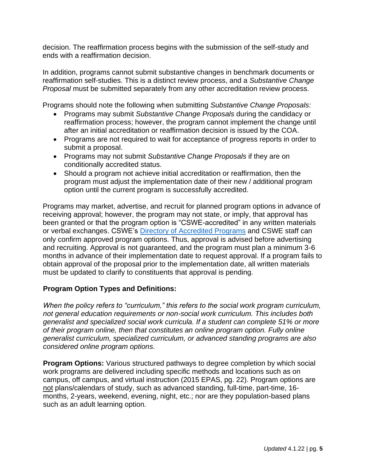decision. The reaffirmation process begins with the submission of the self-study and ends with a reaffirmation decision.

In addition, programs cannot submit substantive changes in benchmark documents or reaffirmation self-studies. This is a distinct review process, and a *Substantive Change Proposal* must be submitted separately from any other accreditation review process.

Programs should note the following when submitting *Substantive Change Proposals:*

- Programs may submit *Substantive Change Proposals* during the candidacy or reaffirmation process; however, the program cannot implement the change until after an initial accreditation or reaffirmation decision is issued by the COA.
- Programs are not required to wait for acceptance of progress reports in order to submit a proposal.
- Programs may not submit *Substantive Change Proposals* if they are on conditionally accredited status.
- Should a program not achieve initial accreditation or reaffirmation, then the program must adjust the implementation date of their new / additional program option until the current program is successfully accredited.

Programs may market, advertise, and recruit for planned program options in advance of receiving approval; however, the program may not state, or imply, that approval has been granted or that the program option is "CSWE-accredited" in any written materials or verbal exchanges. CSWE's [Directory of Accredited Programs](https://www.cswe.org/accreditation/directory/?) and CSWE staff can only confirm approved program options. Thus, approval is advised before advertising and recruiting. Approval is not guaranteed, and the program must plan a minimum 3-6 months in advance of their implementation date to request approval. If a program fails to obtain approval of the proposal prior to the implementation date, all written materials must be updated to clarify to constituents that approval is pending.

#### **Program Option Types and Definitions:**

*When the policy refers to "curriculum," this refers to the social work program curriculum, not general education requirements or non-social work curriculum. This includes both generalist and specialized social work curricula. If a student can complete 51% or more of their program online, then that constitutes an online program option. Fully online generalist curriculum, specialized curriculum, or advanced standing programs are also considered online program options.* 

**Program Options:** Various structured pathways to degree completion by which social work programs are delivered including specific methods and locations such as on campus, off campus, and virtual instruction (2015 EPAS, pg. 22). Program options are not plans/calendars of study, such as advanced standing, full-time, part-time, 16 months, 2-years, weekend, evening, night, etc.; nor are they population-based plans such as an adult learning option.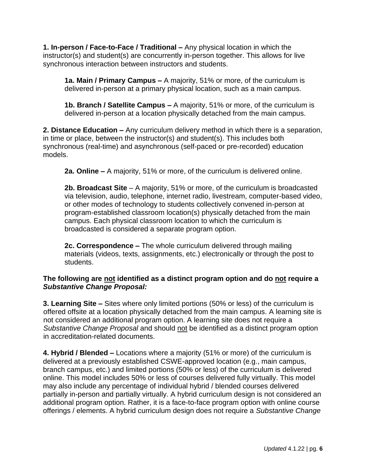**1. In-person / Face-to-Face / Traditional –** Any physical location in which the instructor(s) and student(s) are concurrently in-person together. This allows for live synchronous interaction between instructors and students.

**1a. Main / Primary Campus –** A majority, 51% or more, of the curriculum is delivered in-person at a primary physical location, such as a main campus.

**1b. Branch / Satellite Campus –** A majority, 51% or more, of the curriculum is delivered in-person at a location physically detached from the main campus.

**2. Distance Education –** Any curriculum delivery method in which there is a separation, in time or place, between the instructor(s) and student(s). This includes both synchronous (real-time) and asynchronous (self-paced or pre-recorded) education models.

**2a. Online –** A majority, 51% or more, of the curriculum is delivered online.

**2b. Broadcast Site** – A majority, 51% or more, of the curriculum is broadcasted via television, audio, telephone, internet radio, livestream, computer-based video, or other modes of technology to students collectively convened in-person at program-established classroom location(s) physically detached from the main campus. Each physical classroom location to which the curriculum is broadcasted is considered a separate program option.

**2c. Correspondence –** The whole curriculum delivered through mailing materials (videos, texts, assignments, etc.) electronically or through the post to students.

#### **The following are not identified as a distinct program option and do not require a**  *Substantive Change Proposal:*

**3. Learning Site –** Sites where only limited portions (50% or less) of the curriculum is offered offsite at a location physically detached from the main campus. A learning site is not considered an additional program option. A learning site does not require a *Substantive Change Proposal* and should not be identified as a distinct program option in accreditation-related documents.

**4. Hybrid / Blended –** Locations where a majority (51% or more) of the curriculum is delivered at a previously established CSWE-approved location (e.g., main campus, branch campus, etc.) and limited portions (50% or less) of the curriculum is delivered online. This model includes 50% or less of courses delivered fully virtually. This model may also include any percentage of individual hybrid / blended courses delivered partially in-person and partially virtually. A hybrid curriculum design is not considered an additional program option. Rather, it is a face-to-face program option with online course offerings / elements. A hybrid curriculum design does not require a *Substantive Change*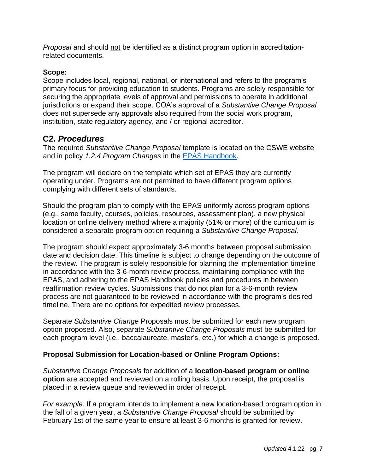*Proposal* and should not be identified as a distinct program option in accreditationrelated documents.

#### **Scope:**

Scope includes local, regional, national, or international and refers to the program's primary focus for providing education to students. Programs are solely responsible for securing the appropriate levels of approval and permissions to operate in additional jurisdictions or expand their scope. COA's approval of a *Substantive Change Proposal* does not supersede any approvals also required from the social work program, institution, state regulatory agency, and / or regional accreditor.

### **C2.** *Procedures*

The required *Substantive Change Proposal* template is located on the CSWE website and in policy *1.2.4 Program Changes* in the [EPAS Handbook.](https://www.cswe.org/accreditation/standards/epas-handbook/)

The program will declare on the template which set of EPAS they are currently operating under. Programs are not permitted to have different program options complying with different sets of standards.

Should the program plan to comply with the EPAS uniformly across program options (e.g., same faculty, courses, policies, resources, assessment plan), a new physical location or online delivery method where a majority (51% or more) of the curriculum is considered a separate program option requiring a *Substantive Change Proposal.*

The program should expect approximately 3-6 months between proposal submission date and decision date. This timeline is subject to change depending on the outcome of the review. The program is solely responsible for planning the implementation timeline in accordance with the 3-6-month review process, maintaining compliance with the EPAS, and adhering to the EPAS Handbook policies and procedures in between reaffirmation review cycles. Submissions that do not plan for a 3-6-month review process are not guaranteed to be reviewed in accordance with the program's desired timeline. There are no options for expedited review processes.

Separate *Substantive Change* Proposals must be submitted for each new program option proposed. Also, separate *Substantive Change Proposals* must be submitted for each program level (i.e., baccalaureate, master's, etc.) for which a change is proposed.

#### **Proposal Submission for Location-based or Online Program Options:**

*Substantive Change Proposals* for addition of a **location-based program or online option** are accepted and reviewed on a rolling basis. Upon receipt, the proposal is placed in a review queue and reviewed in order of receipt.

*For example:* If a program intends to implement a new location-based program option in the fall of a given year, a *Substantive Change Proposal* should be submitted by February 1st of the same year to ensure at least 3-6 months is granted for review.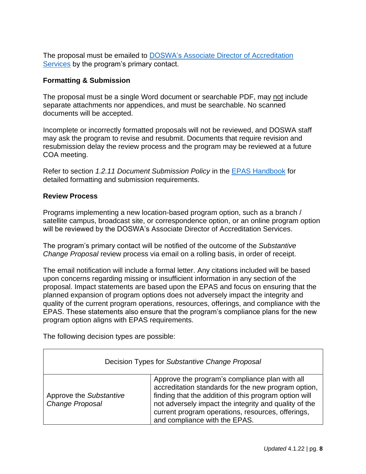The proposal must be emailed to [DOSWA's Associate Director of Accreditation](https://www.cswe.org/accreditation/info/contact-accreditation-staff/)  [Services](https://www.cswe.org/accreditation/info/contact-accreditation-staff/) by the program's primary contact.

#### **Formatting & Submission**

The proposal must be a single Word document or searchable PDF, may not include separate attachments nor appendices, and must be searchable. No scanned documents will be accepted.

Incomplete or incorrectly formatted proposals will not be reviewed, and DOSWA staff may ask the program to revise and resubmit. Documents that require revision and resubmission delay the review process and the program may be reviewed at a future COA meeting.

Refer to section *1.2.11 Document Submission Policy* in the [EPAS Handbook](https://www.cswe.org/accreditation/standards/epas-handbook/) for detailed formatting and submission requirements.

#### **Review Process**

Programs implementing a new location-based program option, such as a branch / satellite campus, broadcast site, or correspondence option, or an online program option will be reviewed by the DOSWA's Associate Director of Accreditation Services.

The program's primary contact will be notified of the outcome of the *Substantive Change Proposal* review process via email on a rolling basis, in order of receipt.

The email notification will include a formal letter. Any citations included will be based upon concerns regarding missing or insufficient information in any section of the proposal. Impact statements are based upon the EPAS and focus on ensuring that the planned expansion of program options does not adversely impact the integrity and quality of the current program operations, resources, offerings, and compliance with the EPAS. These statements also ensure that the program's compliance plans for the new program option aligns with EPAS requirements.

The following decision types are possible:

| Decision Types for Substantive Change Proposal |                                                                                                                                                                                                                                                                                                               |
|------------------------------------------------|---------------------------------------------------------------------------------------------------------------------------------------------------------------------------------------------------------------------------------------------------------------------------------------------------------------|
| Approve the Substantive<br>Change Proposal     | Approve the program's compliance plan with all<br>accreditation standards for the new program option,<br>finding that the addition of this program option will<br>not adversely impact the integrity and quality of the<br>current program operations, resources, offerings,<br>and compliance with the EPAS. |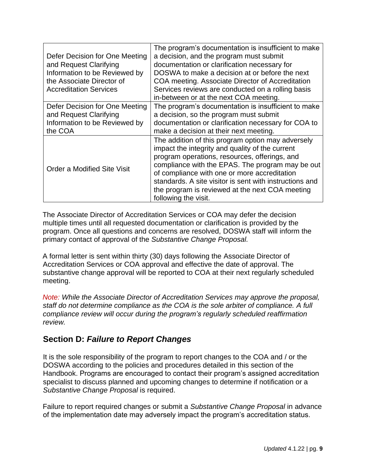| Defer Decision for One Meeting<br>and Request Clarifying<br>Information to be Reviewed by<br>the Associate Director of | The program's documentation is insufficient to make<br>a decision, and the program must submit<br>documentation or clarification necessary for<br>DOSWA to make a decision at or before the next<br>COA meeting. Associate Director of Accreditation                                                                                                                                            |
|------------------------------------------------------------------------------------------------------------------------|-------------------------------------------------------------------------------------------------------------------------------------------------------------------------------------------------------------------------------------------------------------------------------------------------------------------------------------------------------------------------------------------------|
| <b>Accreditation Services</b>                                                                                          | Services reviews are conducted on a rolling basis<br>in-between or at the next COA meeting.                                                                                                                                                                                                                                                                                                     |
| Defer Decision for One Meeting<br>and Request Clarifying<br>Information to be Reviewed by<br>the COA                   | The program's documentation is insufficient to make<br>a decision, so the program must submit<br>documentation or clarification necessary for COA to<br>make a decision at their next meeting.                                                                                                                                                                                                  |
| Order a Modified Site Visit                                                                                            | The addition of this program option may adversely<br>impact the integrity and quality of the current<br>program operations, resources, offerings, and<br>compliance with the EPAS. The program may be out<br>of compliance with one or more accreditation<br>standards. A site visitor is sent with instructions and<br>the program is reviewed at the next COA meeting<br>following the visit. |

The Associate Director of Accreditation Services or COA may defer the decision multiple times until all requested documentation or clarification is provided by the program. Once all questions and concerns are resolved, DOSWA staff will inform the primary contact of approval of the *Substantive Change Proposal.* 

A formal letter is sent within thirty (30) days following the Associate Director of Accreditation Services or COA approval and effective the date of approval. The substantive change approval will be reported to COA at their next regularly scheduled meeting.

*Note: While the Associate Director of Accreditation Services may approve the proposal, staff do not determine compliance as the COA is the sole arbiter of compliance. A full compliance review will occur during the program's regularly scheduled reaffirmation review.* 

### <span id="page-8-0"></span>**Section D:** *Failure to Report Changes*

It is the sole responsibility of the program to report changes to the COA and / or the DOSWA according to the policies and procedures detailed in this section of the Handbook. Programs are encouraged to contact their program's assigned accreditation specialist to discuss planned and upcoming changes to determine if notification or a *Substantive Change Proposal* is required.

Failure to report required changes or submit a *Substantive Change Proposal* in advance of the implementation date may adversely impact the program's accreditation status.